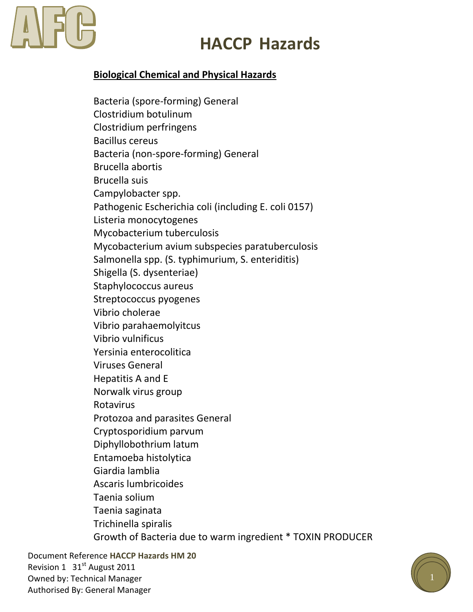# **HACCP Hazards**

## **Biological Chemical and Physical Hazards**

Bacteria (spore-forming) General Clostridium botulinum Clostridium perfringens Bacillus cereus Bacteria (non-spore-forming) General Brucella abortis Brucella suis Campylobacter spp. Pathogenic Escherichia coli (including E. coli 0157) Listeria monocytogenes Mycobacterium tuberculosis Mycobacterium avium subspecies paratuberculosis Salmonella spp. (S. typhimurium, S. enteriditis) Shigella (S. dysenteriae) Staphylococcus aureus Streptococcus pyogenes Vibrio cholerae Vibrio parahaemolyitcus Vibrio vulnificus Yersinia enterocolitica Viruses General Hepatitis A and E Norwalk virus group Rotavirus Protozoa and parasites General Cryptosporidium parvum Diphyllobothrium latum Entamoeba histolytica Giardia lamblia Ascaris lumbricoides Taenia solium Taenia saginata Trichinella spiralis Growth of Bacteria due to warm ingredient \* TOXIN PRODUCER

Document Reference **HACCP Hazards HM 20** Revision 1 31<sup>st</sup> August 2011 Owned by: Technical Manager Authorised By: General Manager